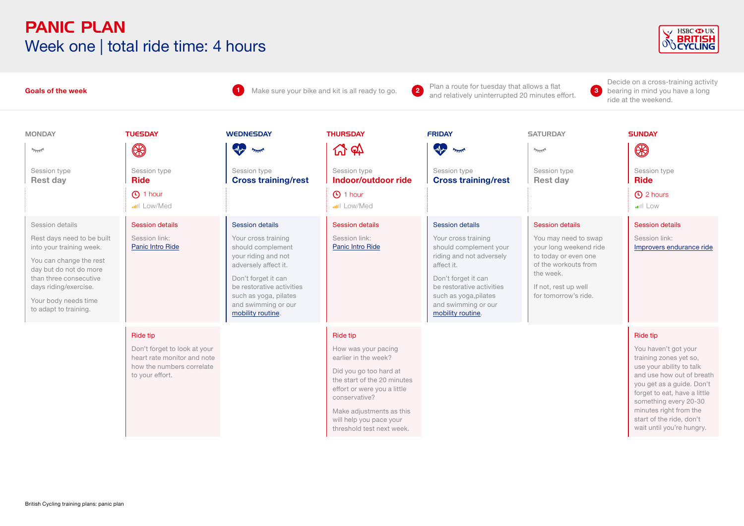#### PANIC PLAN Week one | total ride time: 4 hours



Decide on a cross-training activity

#### **1** Make sure your bike and kit is all ready to go. **2** Plan a route for tuesday that allows a flat **3 Goals of the week**  bearing in mind you have a long and relatively uninterrupted 20 minutes effort. **<sup>2</sup>** ride at the weekend. MONDAY TUESDAY WEDNESDAY THURSDAY FRIDAY SATURDAY SUNDAY  $\mathcal{L}$   $\sigma$  $\mathbf{P}_{\text{max}}$  $\circledR$ **State State**  $\circledR$  $\gamma_{\overline{111}}$  $\overline{\gamma_{\rm max}}$ Session type Session type Session type Session type Session type Session type Session type **Cross training/rest Rest day Ride Cross training/rest Indoor/outdoor ride Rest day Ride** 1 hour the set of the set of the set of the set of the set of the set of the set of the set of the set of the s Low/Med Low/Med Low Session details Session details Session details Session details Session details Session details Session details Rest days need to be built Session link: Your cross training Session link: Your cross training You may need to swap Session link: [Panic Intro Ride](https://www.britishcycling.org.uk/zuvvi/media/bc_files/sportivetrainingplans/outdoor_sessions/Panic_plan_intro_ride.pdf) [Panic Intro Ride](https://www.britishcycling.org.uk/zuvvi/media/bc_files/sportivetrainingplans/outdoor_sessions/Panic_plan_intro_ride.pdf) [Improvers endurance ride](https://www.britishcycling.org.uk/zuvvi/media/bc_files/sportivetrainingplans/improver_plan/IMPROVERS_ENDURANCE_RIDE.pdf) into your training week. should complement should complement your your long weekend ride your riding and not to today or even one riding and not adversely You can change the rest adversely affect it. affect it. of the workouts from day but do not do more the week. than three consecutive Don't forget it can Don't forget it can be restorative activities be restorative activities If not, rest up well days riding/exercise. such as yoga, pilates such as voga, pilates for tomorrow's ride. Your body needs time and swimming or our and swimming or our to adapt to training. [mobility routine](https://www.britishcycling.org.uk/knowledge/training/article/izn20130617-Phil-Burt-s-Big-Four-0). [mobility routine.](https://www.britishcycling.org.uk/knowledge/training/article/izn20130617-Phil-Burt-s-Big-Four-0) Ride tip Ride tip Ride tip Don't forget to look at your How was your pacing You haven't got your heart rate monitor and note earlier in the week? training zones yet so, how the numbers correlate use your ability to talk Did you go too hard at to your effort. and use how out of breath the start of the 20 minutes you get as a guide. Don't effort or were you a little forget to eat, have a little conservative? something every 20-30 Make adjustments as this minutes right from the start of the ride, don't will help you pace your wait until you're hungry. threshold test next week.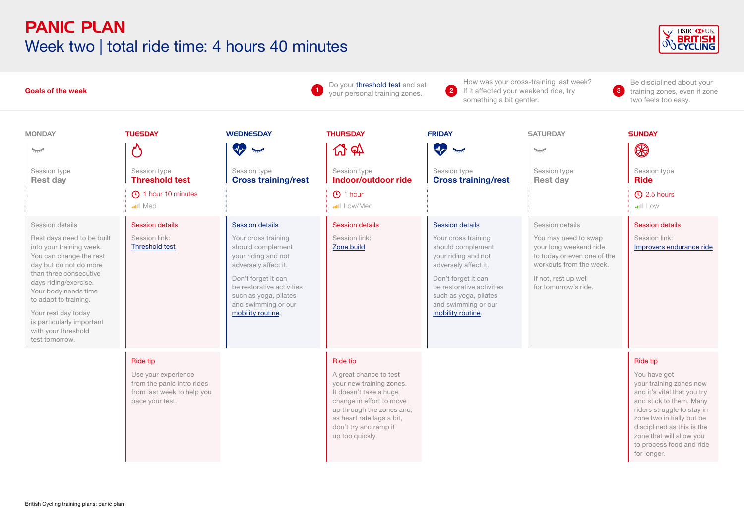# PANIC PLAN Week two | total ride time: 4 hours 40 minutes



| <b>Goals of the week</b>                                                                                                                                                                                                                                                                                                        |                                                                                                                |                                                                                                                                                                                                                                            | Do your <i>threshold test</i> and set<br>your personal training zones.                                                                                                                                                            | 2<br>If it affected your weekend ride, try<br>something a bit gentler.                                                                                                                                                                     | How was your cross-training last week?<br>$\bullet$                                                                                                                         | Be disciplined about your<br>training zones, even if zone<br>two feels too easy.                                                                                                                                                                                                     |
|---------------------------------------------------------------------------------------------------------------------------------------------------------------------------------------------------------------------------------------------------------------------------------------------------------------------------------|----------------------------------------------------------------------------------------------------------------|--------------------------------------------------------------------------------------------------------------------------------------------------------------------------------------------------------------------------------------------|-----------------------------------------------------------------------------------------------------------------------------------------------------------------------------------------------------------------------------------|--------------------------------------------------------------------------------------------------------------------------------------------------------------------------------------------------------------------------------------------|-----------------------------------------------------------------------------------------------------------------------------------------------------------------------------|--------------------------------------------------------------------------------------------------------------------------------------------------------------------------------------------------------------------------------------------------------------------------------------|
| <b>MONDAY</b><br>$2\pi R$<br>Session type<br><b>Rest day</b>                                                                                                                                                                                                                                                                    | <b>TUESDAY</b><br>$\mathcal{O}$<br>Session type<br><b>Threshold test</b>                                       | <b>WEDNESDAY</b><br>$\mathbf{P}$<br>يمللن<br>Session type<br><b>Cross training/rest</b>                                                                                                                                                    | <b>THURSDAY</b><br><u>ሊ</u> क<br>Session type<br>Indoor/outdoor ride                                                                                                                                                              | <b>FRIDAY</b><br>W<br>يتلللا<br>Session type<br><b>Cross training/rest</b>                                                                                                                                                                 | <b>SATURDAY</b><br>يمللو<br>Session type<br><b>Rest day</b>                                                                                                                 | <b>SUNDAY</b><br>⊛<br>Session type<br><b>Ride</b>                                                                                                                                                                                                                                    |
|                                                                                                                                                                                                                                                                                                                                 | 4 1 hour 10 minutes<br>Med                                                                                     |                                                                                                                                                                                                                                            | <b>4</b> 1 hour<br>Low/Med                                                                                                                                                                                                        |                                                                                                                                                                                                                                            |                                                                                                                                                                             | $\Theta$ 2.5 hours<br>$  $ Low                                                                                                                                                                                                                                                       |
| Session details<br>Rest days need to be built<br>into your training week.<br>You can change the rest<br>day but do not do more<br>than three consecutive<br>days riding/exercise.<br>Your body needs time<br>to adapt to training.<br>Your rest day today<br>is particularly important<br>with your threshold<br>test tomorrow. | <b>Session details</b><br>Session link:<br><b>Threshold test</b>                                               | <b>Session details</b><br>Your cross training<br>should complement<br>your riding and not<br>adversely affect it.<br>Don't forget it can<br>be restorative activities<br>such as yoga, pilates<br>and swimming or our<br>mobility routine. | <b>Session details</b><br>Session link:<br>Zone build                                                                                                                                                                             | <b>Session details</b><br>Your cross training<br>should complement<br>your riding and not<br>adversely affect it.<br>Don't forget it can<br>be restorative activities<br>such as yoga, pilates<br>and swimming or our<br>mobility routine. | Session details<br>You may need to swap<br>your long weekend ride<br>to today or even one of the<br>workouts from the week.<br>If not, rest up well<br>for tomorrow's ride. | <b>Session details</b><br>Session link:<br>Improvers endurance ride                                                                                                                                                                                                                  |
|                                                                                                                                                                                                                                                                                                                                 | Ride tip<br>Use your experience<br>from the panic intro rides<br>from last week to help you<br>pace your test. |                                                                                                                                                                                                                                            | <b>Ride tip</b><br>A great chance to test<br>your new training zones.<br>It doesn't take a huge<br>change in effort to move<br>up through the zones and,<br>as heart rate lags a bit,<br>don't try and ramp it<br>up too quickly. |                                                                                                                                                                                                                                            |                                                                                                                                                                             | <b>Ride tip</b><br>You have got<br>your training zones now<br>and it's vital that you try<br>and stick to them. Many<br>riders struggle to stay in<br>zone two initially but be<br>disciplined as this is the<br>zone that will allow you<br>to process food and ride<br>for longer. |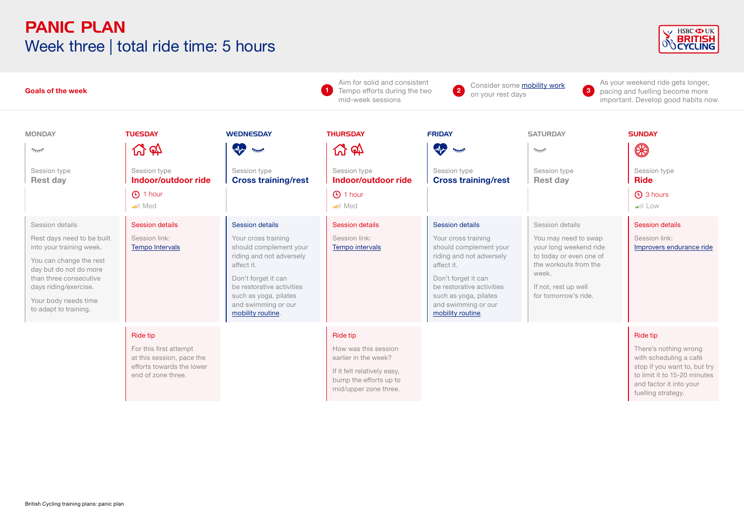# PANIC PLAN Week three | total ride time: 5 hours



| <b>Goals of the week</b>                                                                                                                                                                                                           |                                                                                                                           |                                                                                                                                                                                                                                            | Aim for solid and consistent<br>Tempo efforts during the two<br>mid-week sessions                                                                 | Consider some <b>mobility work</b><br>$\left( 2\right)$<br>on your rest days                                                                                                                                                               | 3                                                                                                                                                                              | As your weekend ride gets longer,<br>pacing and fuelling become more<br>important. Develop good habits now.                                                                         |
|------------------------------------------------------------------------------------------------------------------------------------------------------------------------------------------------------------------------------------|---------------------------------------------------------------------------------------------------------------------------|--------------------------------------------------------------------------------------------------------------------------------------------------------------------------------------------------------------------------------------------|---------------------------------------------------------------------------------------------------------------------------------------------------|--------------------------------------------------------------------------------------------------------------------------------------------------------------------------------------------------------------------------------------------|--------------------------------------------------------------------------------------------------------------------------------------------------------------------------------|-------------------------------------------------------------------------------------------------------------------------------------------------------------------------------------|
| <b>MONDAY</b><br>يمللو<br>Session type<br><b>Rest day</b>                                                                                                                                                                          | <b>TUESDAY</b><br><u> 인</u> 해<br>Session type<br>Indoor/outdoor ride<br><b>1</b> hour                                     | <b>WEDNESDAY</b><br>W<br>يمللن<br>Session type<br><b>Cross training/rest</b>                                                                                                                                                               | <b>THURSDAY</b><br><u>ሊ</u> क<br>Session type<br>Indoor/outdoor ride<br><b>1</b> hour                                                             | <b>FRIDAY</b><br><b>Aye</b><br>يمللن<br>Session type<br><b>Cross training/rest</b>                                                                                                                                                         | <b>SATURDAY</b><br>$2\pi$<br>Session type<br><b>Rest day</b>                                                                                                                   | <b>SUNDAY</b><br>$\circledR$<br>Session type<br><b>Ride</b><br><b>4</b> 3 hours                                                                                                     |
| Session details<br>Rest days need to be built<br>into your training week.<br>You can change the rest<br>day but do not do more<br>than three consecutive<br>days riding/exercise.<br>Your body needs time<br>to adapt to training. | <b>ull</b> Med<br><b>Session details</b><br>Session link:<br><b>Tempo Intervals</b>                                       | <b>Session details</b><br>Your cross training<br>should complement your<br>riding and not adversely<br>affect it.<br>Don't forget it can<br>be restorative activities<br>such as yoga, pilates<br>and swimming or our<br>mobility routine. | <b>ull</b> Med<br><b>Session details</b><br>Session link:<br>Tempo intervals                                                                      | <b>Session details</b><br>Your cross training<br>should complement your<br>riding and not adversely<br>affect it.<br>Don't forget it can<br>be restorative activities<br>such as yoga, pilates<br>and swimming or our<br>mobility routine. | Session details<br>You may need to swap<br>your long weekend ride<br>to today or even one of<br>the workouts from the<br>week.<br>If not, rest up well<br>for tomorrow's ride. | $  $ Low<br><b>Session details</b><br>Session link:<br>Improvers endurance ride                                                                                                     |
|                                                                                                                                                                                                                                    | <b>Ride tip</b><br>For this first attempt<br>at this session, pace the<br>efforts towards the lower<br>end of zone three. |                                                                                                                                                                                                                                            | <b>Ride tip</b><br>How was this session<br>earlier in the week?<br>If it felt relatively easy,<br>bump the efforts up to<br>mid/upper zone three. |                                                                                                                                                                                                                                            |                                                                                                                                                                                | <b>Ride tip</b><br>There's nothing wrong<br>with scheduling a café<br>stop if you want to, but try<br>to limit it to 15-20 minutes<br>and factor it into your<br>fuelling strategy. |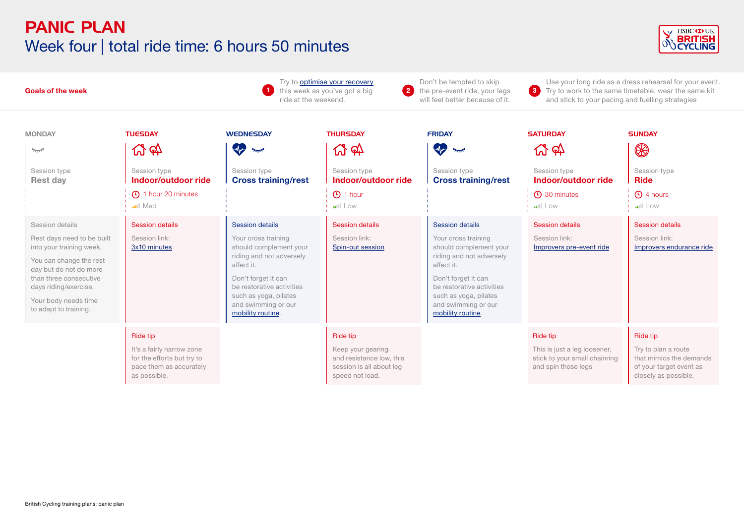# PANIC PLAN Week four | total ride time: 6 hours 50 minutes



| <b>Goals of the week</b>                                                                                                                                                                                                           |                                                                                                                  |                                                                                                                                                                                                                                            | Don't be tempted to skip<br>Try to optimise your recovery<br>$\left( 2\right)$<br>this week as you've got a big<br>the pre-event ride, your legs<br>will feel better because of it.<br>ride at the weekend. |                                                                                                                                                                                                                                            | 3                                                                                                               | Use your long ride as a dress rehearsal for your event.<br>Try to work to the same timetable, wear the same kit<br>and stick to your pacing and fuelling strategies |  |
|------------------------------------------------------------------------------------------------------------------------------------------------------------------------------------------------------------------------------------|------------------------------------------------------------------------------------------------------------------|--------------------------------------------------------------------------------------------------------------------------------------------------------------------------------------------------------------------------------------------|-------------------------------------------------------------------------------------------------------------------------------------------------------------------------------------------------------------|--------------------------------------------------------------------------------------------------------------------------------------------------------------------------------------------------------------------------------------------|-----------------------------------------------------------------------------------------------------------------|---------------------------------------------------------------------------------------------------------------------------------------------------------------------|--|
| <b>MONDAY</b><br>$\gamma_{\rm T15}$<br>Session type<br>Rest day                                                                                                                                                                    | <b>TUESDAY</b><br><b>份 &amp;</b><br>Session type<br>Indoor/outdoor ride<br>4 1 hour 20 minutes<br><b>ull</b> Med | <b>WEDNESDAY</b><br>when you<br>Session type<br><b>Cross training/rest</b>                                                                                                                                                                 | <b>THURSDAY</b><br><b>W</b> &<br>Session type<br>Indoor/outdoor ride<br><b>1</b> hour<br><b>ull</b> Low                                                                                                     | <b>FRIDAY</b><br>$\clubsuit$<br>بمللو<br>Session type<br><b>Cross training/rest</b>                                                                                                                                                        | <b>SATURDAY</b><br><b>4 4 4</b><br>Session type<br>Indoor/outdoor ride<br><b>C</b> 30 minutes<br><b>ull</b> Low | <b>SUNDAY</b><br>$\circledR$<br>Session type<br><b>Ride</b><br><b>C</b> ) 4 hours<br>$\cdot$                                                                        |  |
| Session details<br>Rest days need to be built<br>into your training week.<br>You can change the rest<br>day but do not do more<br>than three consecutive<br>days riding/exercise.<br>Your body needs time<br>to adapt to training. | <b>Session details</b><br>Session link:<br>3x10 minutes                                                          | <b>Session details</b><br>Your cross training<br>should complement your<br>riding and not adversely<br>affect it.<br>Don't forget it can<br>be restorative activities<br>such as yoga, pilates<br>and swimming or our<br>mobility routine. | <b>Session details</b><br>Session link:<br>Spin-out session                                                                                                                                                 | <b>Session details</b><br>Your cross training<br>should complement your<br>riding and not adversely<br>affect it.<br>Don't forget it can<br>be restorative activities<br>such as yoga, pilates<br>and swimming or our<br>mobility routine. | <b>Session details</b><br>Session link:<br>Improvers pre-event ride                                             | <b>Session details</b><br>Session link:<br>Improvers endurance ride                                                                                                 |  |
|                                                                                                                                                                                                                                    | Ride tip<br>It's a fairly narrow zone<br>for the efforts but try to<br>pace them as accurately<br>as possible.   |                                                                                                                                                                                                                                            | Ride tip<br>Keep your gearing<br>and resistance low, this<br>session is all about leg<br>speed not load.                                                                                                    |                                                                                                                                                                                                                                            | <b>Ride tip</b><br>This is just a leg loosener,<br>stick to your small chainring<br>and spin those legs         | Ride tip<br>Try to plan a route<br>that mimics the demands<br>of your target event as<br>closely as possible.                                                       |  |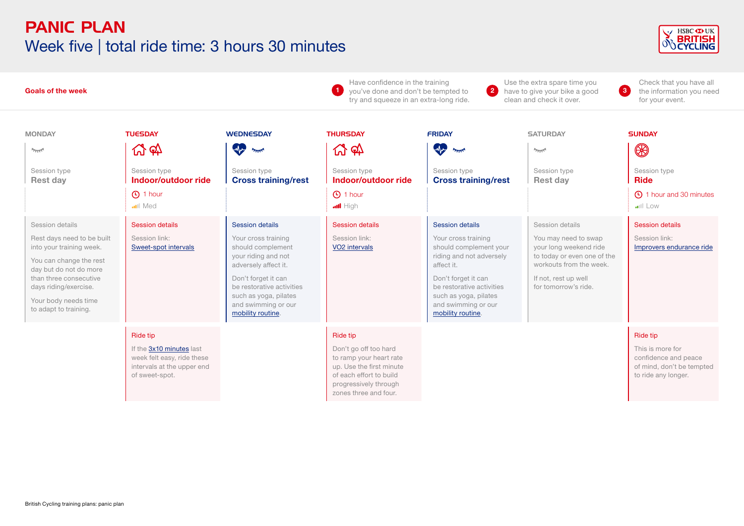#### PANIC PLAN Week five | total ride time: 3 hours 30 minutes



| <b>Goals of the week</b>                                                                                                                                                                                                           |                                                                                                                           |                                                                                                                                                                                                                                            | Have confidence in the training<br>【 1】<br>you've done and don't be tempted to<br>try and squeeze in an extra-long ride.                                                     | $\left( 2\right)$                                                                                                                                                                                                                   | Use the extra spare time you<br>have to give your bike a good<br>clean and check it over.                                                                                   | Check that you have all<br>the information you need<br>$\bullet$<br>for your event.                             |
|------------------------------------------------------------------------------------------------------------------------------------------------------------------------------------------------------------------------------------|---------------------------------------------------------------------------------------------------------------------------|--------------------------------------------------------------------------------------------------------------------------------------------------------------------------------------------------------------------------------------------|------------------------------------------------------------------------------------------------------------------------------------------------------------------------------|-------------------------------------------------------------------------------------------------------------------------------------------------------------------------------------------------------------------------------------|-----------------------------------------------------------------------------------------------------------------------------------------------------------------------------|-----------------------------------------------------------------------------------------------------------------|
| <b>MONDAY</b><br>$\gamma_{\rm TIT}$<br>Session type<br><b>Rest day</b>                                                                                                                                                             | <b>TUESDAY</b><br>LY 67<br>Session type<br>Indoor/outdoor ride<br><b>4</b> 1 hour<br><b>ull</b> Med                       | <b>WEDNESDAY</b><br><b>W</b><br>يمللن<br>Session type<br><b>Cross training/rest</b>                                                                                                                                                        | <b>THURSDAY</b><br><u>ආ</u><br>口<br>Session type<br>Indoor/outdoor ride<br><b>4</b> 1 hour                                                                                   | <b>FRIDAY</b><br><b>A</b><br>بمللو<br>Session type<br><b>Cross training/rest</b>                                                                                                                                                    | <b>SATURDAY</b><br>$2\pi$<br>Session type<br><b>Rest day</b>                                                                                                                | <b>SUNDAY</b><br>$\circledast$<br>Session type<br><b>Ride</b><br><b>4</b> 1 hour and 30 minutes                 |
| Session details<br>Rest days need to be built<br>into your training week.<br>You can change the rest<br>day but do not do more<br>than three consecutive<br>days riding/exercise.<br>Your body needs time<br>to adapt to training. | <b>Session details</b><br>Session link:<br>Sweet-spot intervals                                                           | <b>Session details</b><br>Your cross training<br>should complement<br>your riding and not<br>adversely affect it.<br>Don't forget it can<br>be restorative activities<br>such as yoga, pilates<br>and swimming or our<br>mobility routine. | $\cdot \cdot \cdot$ High<br><b>Session details</b><br>Session link:<br>VO <sub>2</sub> intervals                                                                             | Session details<br>Your cross training<br>should complement your<br>riding and not adversely<br>affect it.<br>Don't forget it can<br>be restorative activities<br>such as yoga, pilates<br>and swimming or our<br>mobility routine. | Session details<br>You may need to swap<br>your long weekend ride<br>to today or even one of the<br>workouts from the week.<br>If not, rest up well<br>for tomorrow's ride. | <b>ull</b> Low<br><b>Session details</b><br>Session link:<br>Improvers endurance ride                           |
|                                                                                                                                                                                                                                    | <b>Ride tip</b><br>If the 3x10 minutes last<br>week felt easy, ride these<br>intervals at the upper end<br>of sweet-spot. |                                                                                                                                                                                                                                            | <b>Ride tip</b><br>Don't go off too hard<br>to ramp your heart rate<br>up. Use the first minute<br>of each effort to build<br>progressively through<br>zones three and four. |                                                                                                                                                                                                                                     |                                                                                                                                                                             | <b>Ride tip</b><br>This is more for<br>confidence and peace<br>of mind, don't be tempted<br>to ride any longer. |